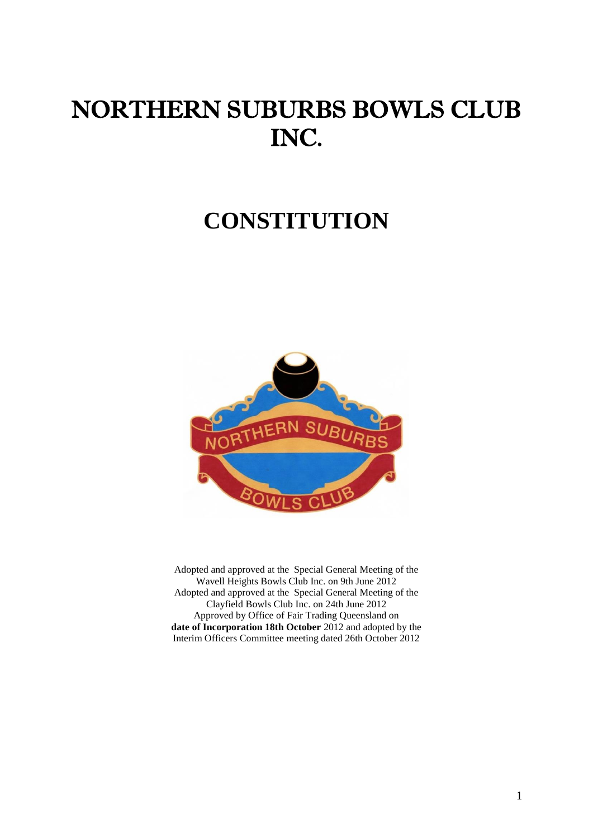# NORTHERN SUBURBS BOWLS CLUB INC.

# **CONSTITUTION**



Adopted and approved at the Special General Meeting of the Wavell Heights Bowls Club Inc. on 9th June 2012 Adopted and approved at the Special General Meeting of the Clayfield Bowls Club Inc. on 24th June 2012 Approved by Office of Fair Trading Queensland on **date of Incorporation 18th October** 2012 and adopted by the Interim Officers Committee meeting dated 26th October 2012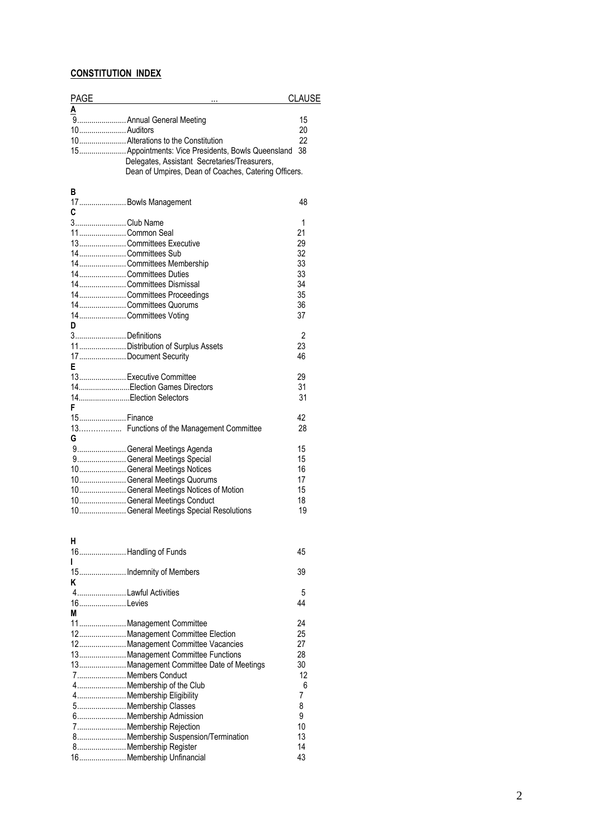## **CONSTITUTION INDEX**

| <b>PAGE</b>   |                                                                                                      | <b>CLAUSE</b>  |
|---------------|------------------------------------------------------------------------------------------------------|----------------|
| A             |                                                                                                      |                |
|               | 9 Annual General Meeting                                                                             | 15             |
| 10Auditors    |                                                                                                      | 20             |
|               | 10 Alterations to the Constitution                                                                   | 22             |
|               | 15 Appointments: Vice Presidents, Bowls Queensland                                                   | 38             |
|               | Delegates, Assistant Secretaries/Treasurers,<br>Dean of Umpires, Dean of Coaches, Catering Officers. |                |
| в             |                                                                                                      |                |
|               | 17 Bowls Management                                                                                  | 48             |
| C             |                                                                                                      |                |
| 3Club Name    |                                                                                                      | 1              |
| 11Common Seal |                                                                                                      | 21             |
|               | 13Committees Executive                                                                               | 29             |
|               | 14Committees Sub                                                                                     | 32             |
|               | 14Committees Membership                                                                              | 33             |
|               | 14 Committees Duties                                                                                 | 33             |
|               | 14Committees Dismissal                                                                               | 34             |
|               | 14Committees Proceedings                                                                             | 35             |
|               | 14Committees Quorums                                                                                 | 36             |
|               | 14Committees Voting                                                                                  | 37             |
| D             |                                                                                                      |                |
| 3Definitions  |                                                                                                      | $\overline{c}$ |
|               | 11 Distribution of Surplus Assets                                                                    | 23             |
|               | 17Document Security                                                                                  | 46             |
| E.            |                                                                                                      |                |
|               | 13 Executive Committee                                                                               | 29             |
|               | 14Election Games Directors                                                                           | 31             |
|               | 14Election Selectors                                                                                 | 31             |
| F             |                                                                                                      |                |
| 15 Finance    |                                                                                                      | 42             |
|               | 13 Functions of the Management Committee                                                             | 28             |
| G             |                                                                                                      |                |
|               | 9 General Meetings Agenda                                                                            | 15             |
|               | 9 General Meetings Special                                                                           | 15             |
|               | 10 General Meetings Notices                                                                          | 16             |
|               | 10 General Meetings Quorums                                                                          | 17             |
|               | 10 General Meetings Notices of Motion                                                                | 15             |
|               | 10 General Meetings Conduct                                                                          | 18             |
|               | 10 General Meetings Special Resolutions                                                              | 19             |
|               |                                                                                                      |                |
| н             |                                                                                                      |                |
|               | 16Handling of Funds                                                                                  | 45             |
| L             |                                                                                                      |                |
|               | 15 Indemnity of Members                                                                              | 39             |
| Κ             |                                                                                                      |                |
|               | 4Lawful Activities                                                                                   | 5              |
| 16Levies      |                                                                                                      | 44             |
| М             |                                                                                                      |                |
|               | 11 Management Committee                                                                              | 24             |
|               | 12 Management Committee Election                                                                     | 25             |
|               | 12 Management Committee Vacancies                                                                    | 27             |
|               | 13 Management Committee Functions                                                                    | 28             |
|               | 13 Management Committee Date of Meetings                                                             | 30             |
|               | 7 Members Conduct                                                                                    | 12             |
|               | 4 Membership of the Club                                                                             | 6              |
|               | 4 Membership Eligibility                                                                             | 7              |
|               | 5 Membership Classes                                                                                 | 8              |
|               | 6 Membership Admission                                                                               | 9              |
|               | 7 Membership Rejection                                                                               | 10             |
|               | 8 Membership Suspension/Termination                                                                  | 13             |
|               | 8 Membership Register                                                                                | 14             |

16.......................Membership Unfinancial 43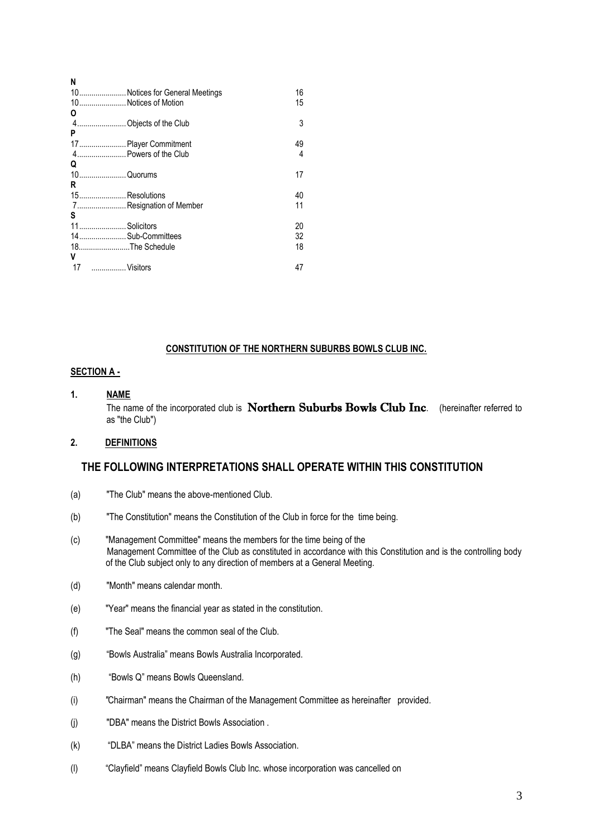| N  |                                 |    |
|----|---------------------------------|----|
|    | 10 Notices for General Meetings | 16 |
|    | 10 Notices of Motion            | 15 |
| 0  |                                 |    |
|    | 4 Objects of the Club           | 3  |
| P  |                                 |    |
|    | 17 Player Commitment            | 49 |
|    | 4 Powers of the Club            | 4  |
| Q  |                                 |    |
|    | 10Quorums                       | 17 |
| R  |                                 |    |
|    | 15 Resolutions                  | 40 |
|    | 7Resignation of Member          | 11 |
| s  |                                 |    |
|    | 11Solicitors                    | 20 |
|    | 14 Sub-Committees               | 32 |
|    | 18The Schedule                  | 18 |
| v  |                                 |    |
| 17 | Visitors                        | 47 |
|    |                                 |    |

### **CONSTITUTION OF THE NORTHERN SUBURBS BOWLS CLUB INC.**

#### **SECTION A -**

**1. NAME** The name of the incorporated club is **Northern Suburbs Bowls Club Inc.** (hereinafter referred to as "the Club")

## **2. DEFINITIONS**

## **THE FOLLOWING INTERPRETATIONS SHALL OPERATE WITHIN THIS CONSTITUTION**

- (a) "The Club" means the above-mentioned Club.
- (b) "The Constitution" means the Constitution of the Club in force for the time being.
- (c) "Management Committee" means the members for the time being of the Management Committee of the Club as constituted in accordance with this Constitution and is the controlling body of the Club subject only to any direction of members at a General Meeting.
- (d) "Month" means calendar month.
- (e) "Year" means the financial year as stated in the constitution.
- (f) "The Seal" means the common seal of the Club.
- (g) "Bowls Australia" means Bowls Australia Incorporated.
- (h) "Bowls Q" means Bowls Queensland.
- (i) *"*Chairman" means the Chairman of the Management Committee as hereinafter provided.
- (j) "DBA" means the District Bowls Association .
- (k) "DLBA" means the District Ladies Bowls Association.
- (l) "Clayfield" means Clayfield Bowls Club Inc. whose incorporation was cancelled on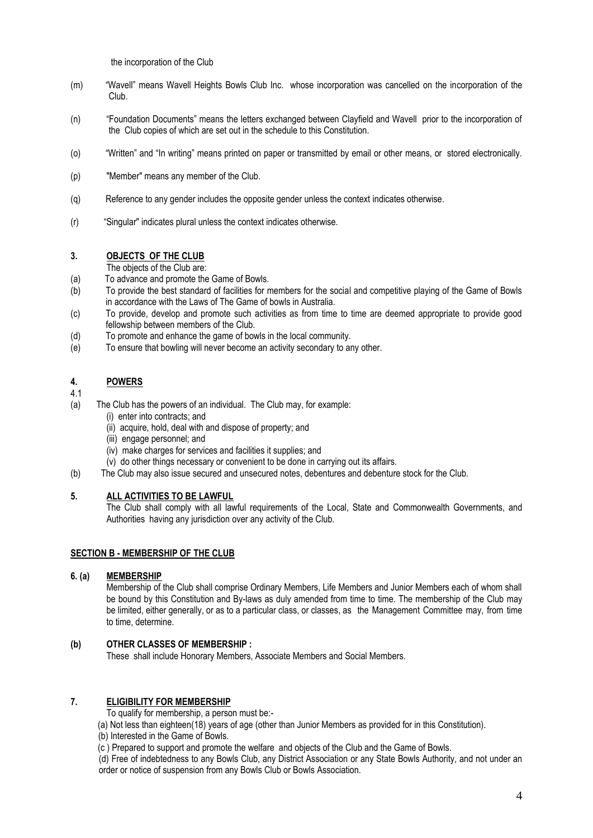the incorporation of the Club

- (m) "Wavell" means Wavell Heights Bowls Club Inc. whose incorporation was cancelled on the incorporation of the Club.
- (n) "Foundation Documents" means the letters exchanged between Clayfield and Wavell prior to the incorporation of the Club copies of which are set out in the schedule to this Constitution.
- (o) "Written" and "In writing" means printed on paper or transmitted by email or other means, or stored electronically.
- (p) "Member" means any member of the Club.
- (q) Reference to any gender includes the opposite gender unless the context indicates otherwise.
- (r) "Singular" indicates plural unless the context indicates otherwise.

## **3. OBJECTS OF THE CLUB**

The objects of the Club are:

- (a) To advance and promote the Game of Bowls.
- (b) To provide the best standard of facilities for members for the social and competitive playing of the Game of Bowls in accordance with the Laws of The Game of bowls in Australia.
- (c) To provide, develop and promote such activities as from time to time are deemed appropriate to provide good fellowship between members of the Club.
- (d) To promote and enhance the game of bowls in the local community.
- $\overrightarrow{e}$  To ensure that bowling will never become an activity secondary to any other.

## **4. POWERS**

4.1

- (a) The Club has the powers of an individual. The Club may, for example:
	- (i) enter into contracts; and
		- (ii) acquire, hold, deal with and dispose of property; and
		- (iii) engage personnel; and
		- (iv) make charges for services and facilities it supplies; and
		- (v) do other things necessary or convenient to be done in carrying out its affairs.
- (b) The Club may also issue secured and unsecured notes, debentures and debenture stock for the Club.

## **5. ALL ACTIVITIES TO BE LAWFUL**

The Club shall comply with all lawful requirements of the Local, State and Commonwealth Governments, and Authorities having any jurisdiction over any activity of the Club.

## **SECTION B - MEMBERSHIP OF THE CLUB**

## **6. (a) MEMBERSHIP**

Membership of the Club shall comprise Ordinary Members, Life Members and Junior Members each of whom shall be bound by this Constitution and By-laws as duly amended from time to time. The membership of the Club may be limited, either generally, or as to a particular class, or classes, as the Management Committee may, from time to time, determine.

## **(b) OTHER CLASSES OF MEMBERSHIP :**

These shall include Honorary Members, Associate Members and Social Members.

## **7. ELIGIBILITY FOR MEMBERSHIP**

To qualify for membership, a person must be:-

(a) Not less than eighteen(18) years of age (other than Junior Members as provided for in this Constitution).

- (b) Interested in the Game of Bowls.
- $\hat{c}$ ) Prepared to support and promote the welfare and objects of the Club and the Game of Bowls.

(d) Free of indebtedness to any Bowls Club, any District Association or any State Bowls Authority, and not under an order or notice of suspension from any Bowls Club or Bowls Association.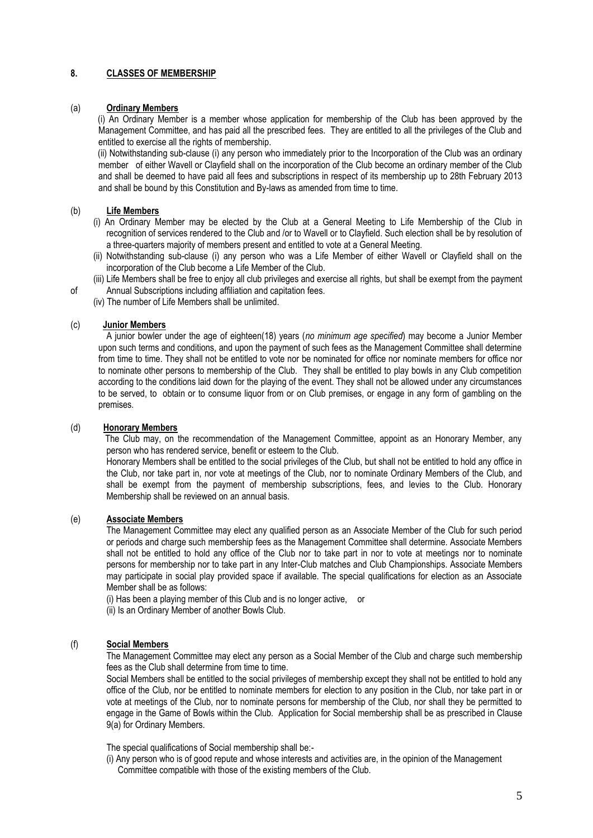## **8. CLASSES OF MEMBERSHIP**

## (a) **Ordinary Members**

 (i) An Ordinary Member is a member whose application for membership of the Club has been approved by the Management Committee, and has paid all the prescribed fees. They are entitled to all the privileges of the Club and entitled to exercise all the rights of membership.

 (ii) Notwithstanding sub-clause (i) any person who immediately prior to the Incorporation of the Club was an ordinary member of either Wavell or Clayfield shall on the incorporation of the Club become an ordinary member of the Club and shall be deemed to have paid all fees and subscriptions in respect of its membership up to 28th February 2013 and shall be bound by this Constitution and By-laws as amended from time to time.

## (b) **Life Members**

- (i) An Ordinary Member may be elected by the Club at a General Meeting to Life Membership of the Club in recognition of services rendered to the Club and /or to Wavell or to Clayfield. Such election shall be by resolution of a three-quarters majority of members present and entitled to vote at a General Meeting.
- (ii) Notwithstanding sub-clause (i) any person who was a Life Member of either Wavell or Clayfield shall on the incorporation of the Club become a Life Member of the Club.
- (iii) Life Members shall be free to enjoy all club privileges and exercise all rights, but shall be exempt from the payment of Annual Subscriptions including affiliation and capitation fees.
	- (iv) The number of Life Members shall be unlimited.

## (c) **Junior Members**

A junior bowler under the age of eighteen(18) years (*no minimum age specified*) may become a Junior Member upon such terms and conditions, and upon the payment of such fees as the Management Committee shall determine from time to time. They shall not be entitled to vote nor be nominated for office nor nominate members for office nor to nominate other persons to membership of the Club. They shall be entitled to play bowls in any Club competition according to the conditions laid down for the playing of the event. They shall not be allowed under any circumstances to be served, to obtain or to consume liquor from or on Club premises, or engage in any form of gambling on the premises.

#### (d) **Honorary Members**

 The Club may, on the recommendation of the Management Committee, appoint as an Honorary Member, any person who has rendered service, benefit or esteem to the Club.

Honorary Members shall be entitled to the social privileges of the Club, but shall not be entitled to hold any office in the Club, nor take part in, nor vote at meetings of the Club, nor to nominate Ordinary Members of the Club, and shall be exempt from the payment of membership subscriptions, fees, and levies to the Club. Honorary Membership shall be reviewed on an annual basis.

#### (e) **Associate Members**

The Management Committee may elect any qualified person as an Associate Member of the Club for such period or periods and charge such membership fees as the Management Committee shall determine. Associate Members shall not be entitled to hold any office of the Club nor to take part in nor to vote at meetings nor to nominate persons for membership nor to take part in any Inter-Club matches and Club Championships. Associate Members may participate in social play provided space if available. The special qualifications for election as an Associate Member shall be as follows:

(i) Has been a playing member of this Club and is no longer active, or

(ii) Is an Ordinary Member of another Bowls Club.

## (f) **Social Members**

The Management Committee may elect any person as a Social Member of the Club and charge such membership fees as the Club shall determine from time to time.

Social Members shall be entitled to the social privileges of membership except they shall not be entitled to hold any office of the Club, nor be entitled to nominate members for election to any position in the Club, nor take part in or vote at meetings of the Club, nor to nominate persons for membership of the Club, nor shall they be permitted to engage in the Game of Bowls within the Club*.* Application for Social membership shall be as prescribed in Clause 9(a) for Ordinary Members.

The special qualifications of Social membership shall be:-

(i) Any person who is of good repute and whose interests and activities are, in the opinion of the Management Committee compatible with those of the existing members of the Club.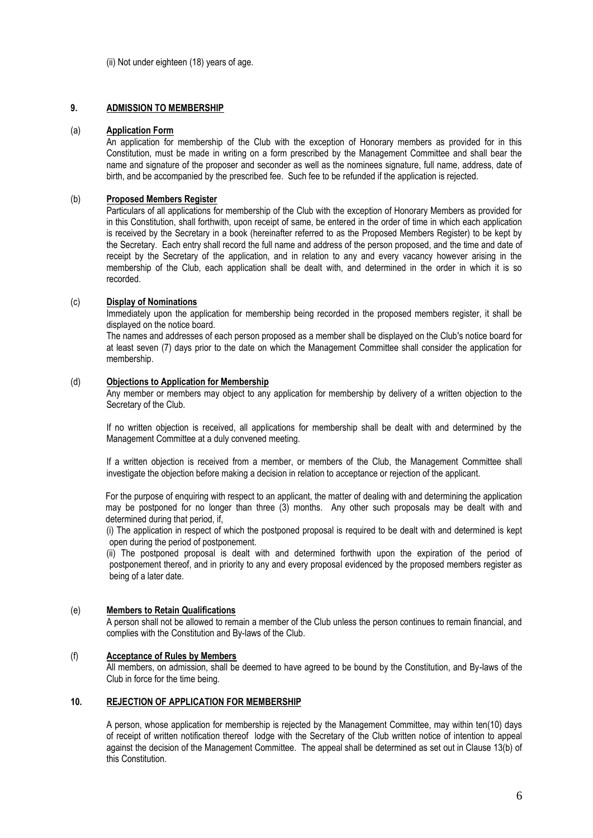### **9. ADMISSION TO MEMBERSHIP**

#### (a) **Application Form**

An application for membership of the Club with the exception of Honorary members as provided for in this Constitution, must be made in writing on a form prescribed by the Management Committee and shall bear the name and signature of the proposer and seconder as well as the nominees signature, full name, address, date of birth, and be accompanied by the prescribed fee. Such fee to be refunded if the application is rejected.

#### (b) **Proposed Members Register**

Particulars of all applications for membership of the Club with the exception of Honorary Members as provided for in this Constitution, shall forthwith, upon receipt of same, be entered in the order of time in which each application is received by the Secretary in a book (hereinafter referred to as the Proposed Members Register) to be kept by the Secretary. Each entry shall record the full name and address of the person proposed, and the time and date of receipt by the Secretary of the application, and in relation to any and every vacancy however arising in the membership of the Club, each application shall be dealt with, and determined in the order in which it is so recorded.

#### (c) **Display of Nominations**

Immediately upon the application for membership being recorded in the proposed members register, it shall be displayed on the notice board.

The names and addresses of each person proposed as a member shall be displayed on the Club's notice board for at least seven (7) days prior to the date on which the Management Committee shall consider the application for membership.

#### (d) **Objections to Application for Membership**

Any member or members may object to any application for membership by delivery of a written objection to the Secretary of the Club.

If no written objection is received, all applications for membership shall be dealt with and determined by the Management Committee at a duly convened meeting.

If a written objection is received from a member, or members of the Club, the Management Committee shall investigate the objection before making a decision in relation to acceptance or rejection of the applicant.

For the purpose of enquiring with respect to an applicant, the matter of dealing with and determining the application may be postponed for no longer than three (3) months. Any other such proposals may be dealt with and determined during that period, if,

(i) The application in respect of which the postponed proposal is required to be dealt with and determined is kept open during the period of postponement.

(ii) The postponed proposal is dealt with and determined forthwith upon the expiration of the period of postponement thereof, and in priority to any and every proposal evidenced by the proposed members register as being of a later date.

#### (e) **Members to Retain Qualifications**

A person shall not be allowed to remain a member of the Club unless the person continues to remain financial, and complies with the Constitution and By-laws of the Club.

#### (f) **Acceptance of Rules by Members**

All members, on admission, shall be deemed to have agreed to be bound by the Constitution, and By-laws of the Club in force for the time being.

## **10. REJECTION OF APPLICATION FOR MEMBERSHIP**

A person, whose application for membership is rejected by the Management Committee, may within ten(10) days of receipt of written notification thereof lodge with the Secretary of the Club written notice of intention to appeal against the decision of the Management Committee. The appeal shall be determined as set out in Clause 13(b) of this Constitution.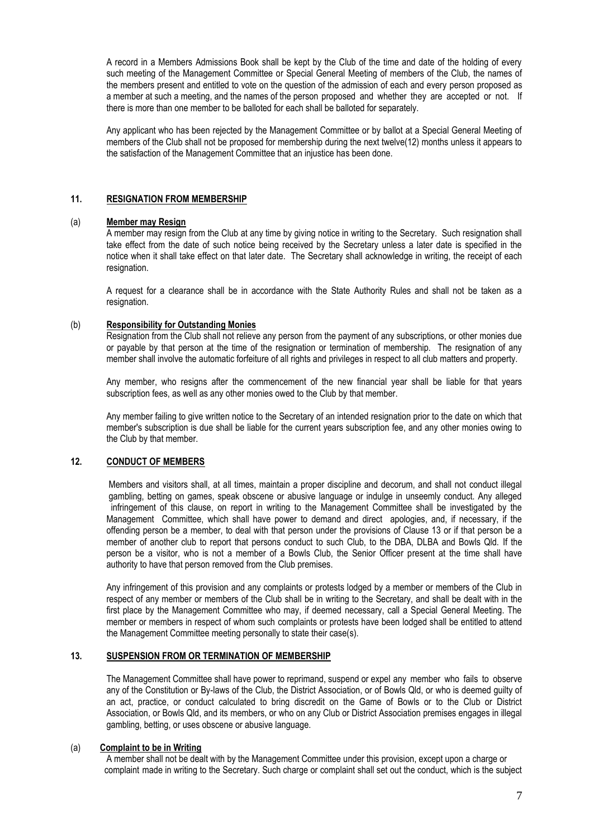A record in a Members Admissions Book shall be kept by the Club of the time and date of the holding of every such meeting of the Management Committee or Special General Meeting of members of the Club, the names of the members present and entitled to vote on the question of the admission of each and every person proposed as a member at such a meeting, and the names of the person proposed and whether they are accepted or not. If there is more than one member to be balloted for each shall be balloted for separately.

Any applicant who has been rejected by the Management Committee or by ballot at a Special General Meeting of members of the Club shall not be proposed for membership during the next twelve(12) months unless it appears to the satisfaction of the Management Committee that an injustice has been done.

## **11. RESIGNATION FROM MEMBERSHIP**

#### (a) **Member may Resign**

A member may resign from the Club at any time by giving notice in writing to the Secretary. Such resignation shall take effect from the date of such notice being received by the Secretary unless a later date is specified in the notice when it shall take effect on that later date. The Secretary shall acknowledge in writing, the receipt of each resignation.

A request for a clearance shall be in accordance with the State Authority Rules and shall not be taken as a resignation.

## (b) **Responsibility for Outstanding Monies**

Resignation from the Club shall not relieve any person from the payment of any subscriptions, or other monies due or payable by that person at the time of the resignation or termination of membership. The resignation of any member shall involve the automatic forfeiture of all rights and privileges in respect to all club matters and property.

Any member, who resigns after the commencement of the new financial year shall be liable for that years subscription fees, as well as any other monies owed to the Club by that member.

Any member failing to give written notice to the Secretary of an intended resignation prior to the date on which that member's subscription is due shall be liable for the current years subscription fee, and any other monies owing to the Club by that member.

## **12. CONDUCT OF MEMBERS**

Members and visitors shall, at all times, maintain a proper discipline and decorum, and shall not conduct illegal gambling, betting on games, speak obscene or abusive language or indulge in unseemly conduct. Any alleged infringement of this clause, on report in writing to the Management Committee shall be investigated by the Management Committee, which shall have power to demand and direct apologies, and, if necessary, if the offending person be a member, to deal with that person under the provisions of Clause 13 or if that person be a member of another club to report that persons conduct to such Club, to the DBA, DLBA and Bowls Qld. If the person be a visitor, who is not a member of a Bowls Club, the Senior Officer present at the time shall have authority to have that person removed from the Club premises.

Any infringement of this provision and any complaints or protests lodged by a member or members of the Club in respect of any member or members of the Club shall be in writing to the Secretary, and shall be dealt with in the first place by the Management Committee who may, if deemed necessary, call a Special General Meeting. The member or members in respect of whom such complaints or protests have been lodged shall be entitled to attend the Management Committee meeting personally to state their case(s).

#### **13. SUSPENSION FROM OR TERMINATION OF MEMBERSHIP**

The Management Committee shall have power to reprimand, suspend or expel any member who fails to observe any of the Constitution or By-laws of the Club, the District Association, or of Bowls Qld, or who is deemed guilty of an act, practice, or conduct calculated to bring discredit on the Game of Bowls or to the Club or District Association, or Bowls Qld, and its members, or who on any Club or District Association premises engages in illegal gambling, betting, or uses obscene or abusive language.

#### (a) **Complaint to be in Writing**

A member shall not be dealt with by the Management Committee under this provision, except upon a charge or complaint made in writing to the Secretary. Such charge or complaint shall set out the conduct, which is the subject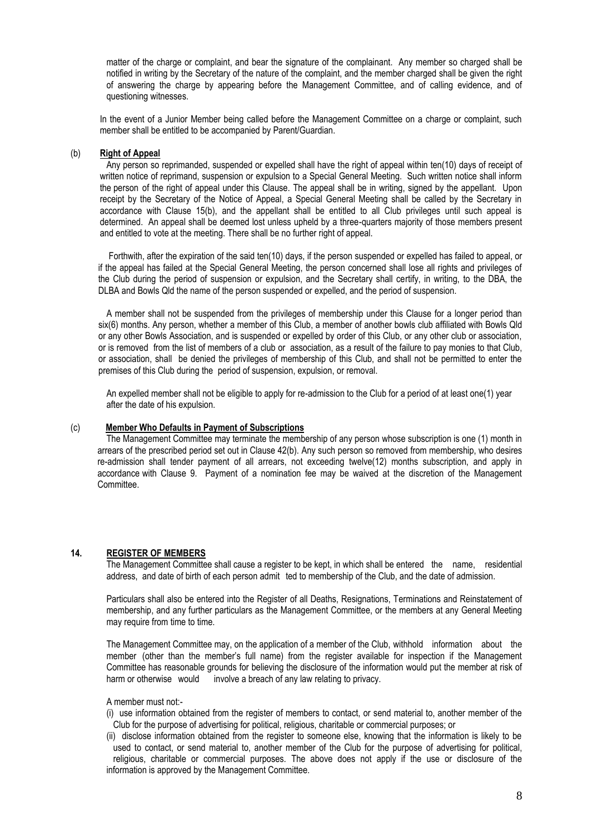matter of the charge or complaint, and bear the signature of the complainant. Any member so charged shall be notified in writing by the Secretary of the nature of the complaint, and the member charged shall be given the right of answering the charge by appearing before the Management Committee, and of calling evidence, and of questioning witnesses.

In the event of a Junior Member being called before the Management Committee on a charge or complaint, such member shall be entitled to be accompanied by Parent/Guardian.

#### (b) **Right of Appeal**

Any person so reprimanded, suspended or expelled shall have the right of appeal within ten(10) days of receipt of written notice of reprimand, suspension or expulsion to a Special General Meeting. Such written notice shall inform the person of the right of appeal under this Clause. The appeal shall be in writing, signed by the appellant. Upon receipt by the Secretary of the Notice of Appeal, a Special General Meeting shall be called by the Secretary in accordance with Clause 15(b), and the appellant shall be entitled to all Club privileges until such appeal is determined. An appeal shall be deemed lost unless upheld by a three-quarters majority of those members present and entitled to vote at the meeting. There shall be no further right of appeal.

Forthwith, after the expiration of the said ten(10) days, if the person suspended or expelled has failed to appeal, or if the appeal has failed at the Special General Meeting, the person concerned shall lose all rights and privileges of the Club during the period of suspension or expulsion, and the Secretary shall certify, in writing, to the DBA, the DLBA and Bowls Qld the name of the person suspended or expelled, and the period of suspension.

A member shall not be suspended from the privileges of membership under this Clause for a longer period than six(6) months. Any person, whether a member of this Club, a member of another bowls club affiliated with Bowls Qld or any other Bowls Association, and is suspended or expelled by order of this Club, or any other club or association, or is removed from the list of members of a club or association, as a result of the failure to pay monies to that Club, or association, shall be denied the privileges of membership of this Club, and shall not be permitted to enter the premises of this Club during the period of suspension, expulsion, or removal.

 An expelled member shall not be eligible to apply for re-admission to the Club for a period of at least one(1) year after the date of his expulsion.

#### (c) **Member Who Defaults in Payment of Subscriptions**

The Management Committee may terminate the membership of any person whose subscription is one (1) month in arrears of the prescribed period set out in Clause 42(b). Any such person so removed from membership, who desires re-admission shall tender payment of all arrears, not exceeding twelve(12) months subscription, and apply in accordance with Clause 9. Payment of a nomination fee may be waived at the discretion of the Management Committee.

#### **14. REGISTER OF MEMBERS**

The Management Committee shall cause a register to be kept, in which shall be entered the name, residential address, and date of birth of each person admit ted to membership of the Club, and the date of admission.

Particulars shall also be entered into the Register of all Deaths, Resignations, Terminations and Reinstatement of membership, and any further particulars as the Management Committee, or the members at any General Meeting may require from time to time.

The Management Committee may, on the application of a member of the Club, withhold information about the member (other than the member's full name) from the register available for inspection if the Management Committee has reasonable grounds for believing the disclosure of the information would put the member at risk of harm or otherwise would involve a breach of any law relating to privacy.

#### A member must not:-

- (i) use information obtained from the register of members to contact, or send material to, another member of the Club for the purpose of advertising for political, religious, charitable or commercial purposes; or
- (ii) disclose information obtained from the register to someone else, knowing that the information is likely to be used to contact, or send material to, another member of the Club for the purpose of advertising for political, religious, charitable or commercial purposes. The above does not apply if the use or disclosure of the information is approved by the Management Committee.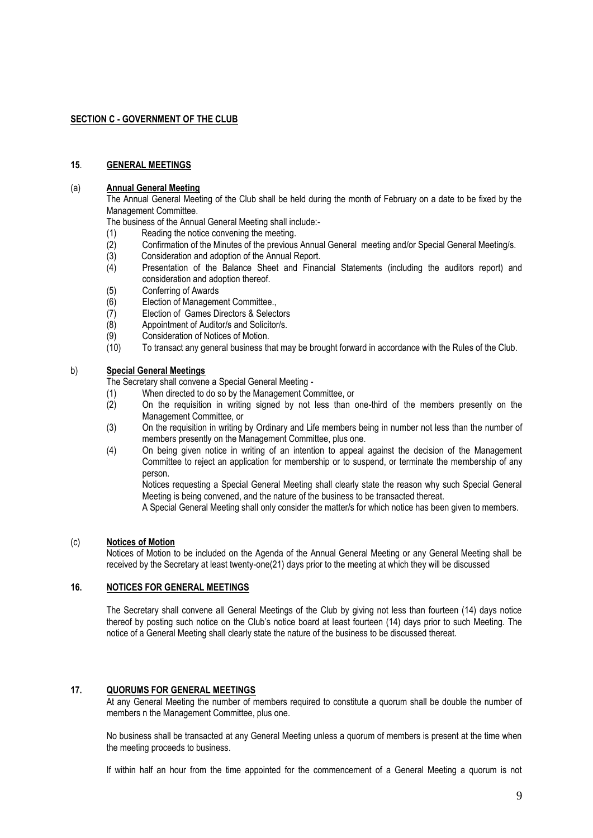## **SECTION C - GOVERNMENT OF THE CLUB**

## **15**. **GENERAL MEETINGS**

#### (a) **Annual General Meeting**

The Annual General Meeting of the Club shall be held during the month of February on a date to be fixed by the Management Committee.

The business of the Annual General Meeting shall include:-

- (1) Reading the notice convening the meeting.
- (2) Confirmation of the Minutes of the previous Annual General meeting and/or Special General Meeting/s.<br>(3) Consideration and adoption of the Annual Report.
- (3) Consideration and adoption of the Annual Report.<br>(4) Presentation of the Balance Sheet and Finan
- Presentation of the Balance Sheet and Financial Statements (including the auditors report) and consideration and adoption thereof.
- (5) Conferring of Awards
- (6) Election of Management Committee.,
- $(7)$  Election of Games Directors & Selectors<br> $(8)$  Appointment of Auditor/s and Solicitor/s.
- (8) Appointment of Auditor/s and Solicitor/s.
- $(9)$  Consideration of Notices of Motion.<br> $(10)$  To transact any general business the
- To transact any general business that may be brought forward in accordance with the Rules of the Club.

#### b) **Special General Meetings**

The Secretary shall convene a Special General Meeting -

- (1) When directed to do so by the Management Committee, or
- (2) On the requisition in writing signed by not less than one-third of the members presently on the Management Committee, or
- (3) On the requisition in writing by Ordinary and Life members being in number not less than the number of members presently on the Management Committee, plus one.
- (4) On being given notice in writing of an intention to appeal against the decision of the Management Committee to reject an application for membership or to suspend, or terminate the membership of any person.

Notices requesting a Special General Meeting shall clearly state the reason why such Special General Meeting is being convened, and the nature of the business to be transacted thereat.

A Special General Meeting shall only consider the matter/s for which notice has been given to members.

#### (c) **Notices of Motion**

Notices of Motion to be included on the Agenda of the Annual General Meeting or any General Meeting shall be received by the Secretary at least twenty-one(21) days prior to the meeting at which they will be discussed

## **16. NOTICES FOR GENERAL MEETINGS**

The Secretary shall convene all General Meetings of the Club by giving not less than fourteen (14) days notice thereof by posting such notice on the Club's notice board at least fourteen (14) days prior to such Meeting. The notice of a General Meeting shall clearly state the nature of the business to be discussed thereat.

### **17. QUORUMS FOR GENERAL MEETINGS**

At any General Meeting the number of members required to constitute a quorum shall be double the number of members n the Management Committee, plus one.

No business shall be transacted at any General Meeting unless a quorum of members is present at the time when the meeting proceeds to business.

If within half an hour from the time appointed for the commencement of a General Meeting a quorum is not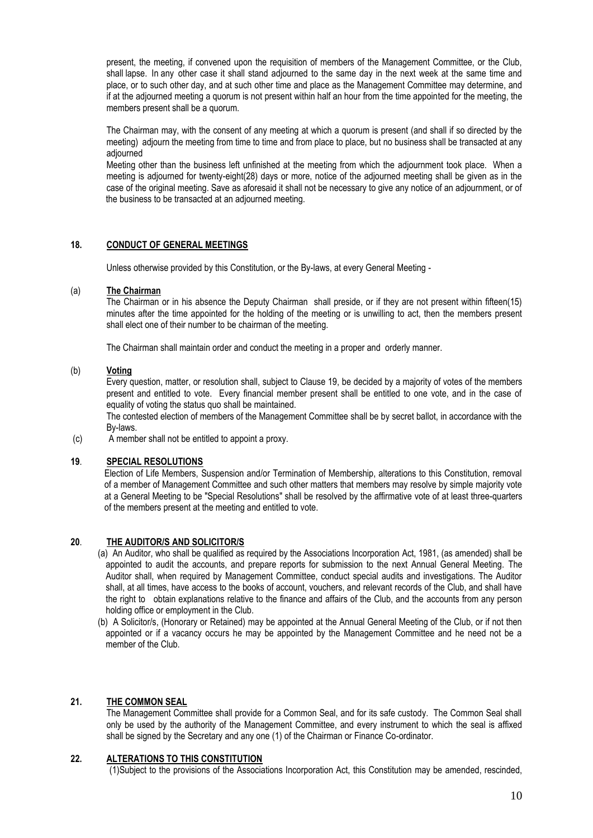present, the meeting, if convened upon the requisition of members of the Management Committee, or the Club, shall lapse. In any other case it shall stand adjourned to the same day in the next week at the same time and place, or to such other day, and at such other time and place as the Management Committee may determine, and if at the adjourned meeting a quorum is not present within half an hour from the time appointed for the meeting, the members present shall be a quorum.

The Chairman may, with the consent of any meeting at which a quorum is present (and shall if so directed by the meeting) adjourn the meeting from time to time and from place to place, but no business shall be transacted at any adjourned

 Meeting other than the business left unfinished at the meeting from which the adjournment took place. When a meeting is adjourned for twenty-eight(28) days or more, notice of the adjourned meeting shall be given as in the case of the original meeting. Save as aforesaid it shall not be necessary to give any notice of an adjournment, or of the business to be transacted at an adjourned meeting.

## **18. CONDUCT OF GENERAL MEETINGS**

Unless otherwise provided by this Constitution, or the By-laws, at every General Meeting -

#### (a) **The Chairman**

The Chairman or in his absence the Deputy Chairman shall preside, or if they are not present within fifteen(15) minutes after the time appointed for the holding of the meeting or is unwilling to act, then the members present shall elect one of their number to be chairman of the meeting.

The Chairman shall maintain order and conduct the meeting in a proper and orderly manner.

## (b) **Voting**

Every question, matter, or resolution shall, subject to Clause 19, be decided by a majority of votes of the members present and entitled to vote. Every financial member present shall be entitled to one vote, and in the case of equality of voting the status quo shall be maintained.

The contested election of members of the Management Committee shall be by secret ballot, in accordance with the By-laws.

(c) A member shall not be entitled to appoint a proxy.

## **19**. **SPECIAL RESOLUTIONS**

Election of Life Members, Suspension and/or Termination of Membership, alterations to this Constitution, removal of a member of Management Committee and such other matters that members may resolve by simple majority vote at a General Meeting to be "Special Resolutions" shall be resolved by the affirmative vote of at least three-quarters of the members present at the meeting and entitled to vote.

#### **20**. **THE AUDITOR/S AND SOLICITOR/S**

 (a) An Auditor, who shall be qualified as required by the Associations Incorporation Act, 1981, (as amended) shall be appointed to audit the accounts, and prepare reports for submission to the next Annual General Meeting. The Auditor shall, when required by Management Committee, conduct special audits and investigations. The Auditor shall, at all times, have access to the books of account, vouchers, and relevant records of the Club, and shall have the right to obtain explanations relative to the finance and affairs of the Club, and the accounts from any person holding office or employment in the Club.

 (b) A Solicitor/s, (Honorary or Retained) may be appointed at the Annual General Meeting of the Club, or if not then appointed or if a vacancy occurs he may be appointed by the Management Committee and he need not be a member of the Club.

## **21. THE COMMON SEAL**

The Management Committee shall provide for a Common Seal, and for its safe custody. The Common Seal shall only be used by the authority of the Management Committee, and every instrument to which the seal is affixed shall be signed by the Secretary and any one (1) of the Chairman or Finance Co-ordinator.

## **22. ALTERATIONS TO THIS CONSTITUTION**

(1)Subject to the provisions of the Associations Incorporation Act, this Constitution may be amended, rescinded,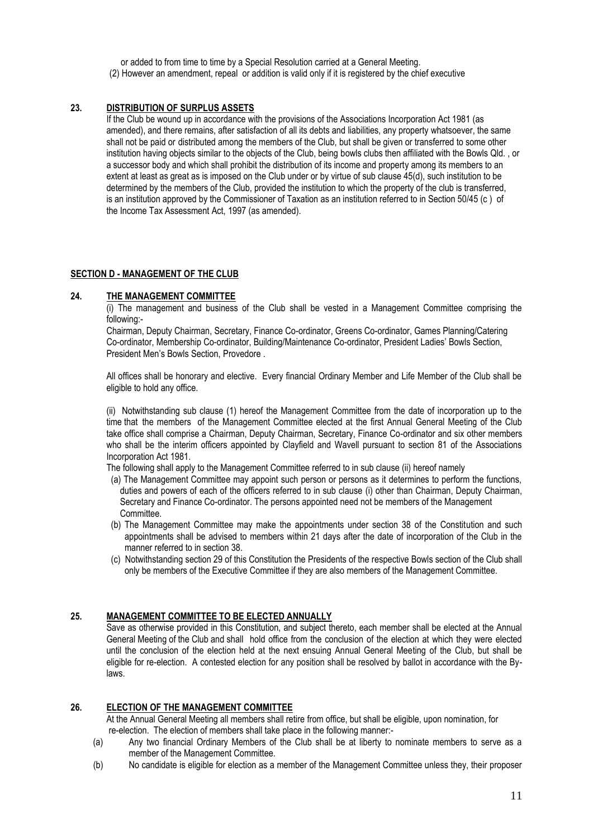- or added to from time to time by a Special Resolution carried at a General Meeting.
- (2) However an amendment, repeal or addition is valid only if it is registered by the chief executive

## **23. DISTRIBUTION OF SURPLUS ASSETS**

If the Club be wound up in accordance with the provisions of the Associations Incorporation Act 1981 (as amended), and there remains, after satisfaction of all its debts and liabilities, any property whatsoever, the same shall not be paid or distributed among the members of the Club, but shall be given or transferred to some other institution having objects similar to the objects of the Club, being bowls clubs then affiliated with the Bowls Qld. , or a successor body and which shall prohibit the distribution of its income and property among its members to an extent at least as great as is imposed on the Club under or by virtue of sub clause 45(d), such institution to be determined by the members of the Club, provided the institution to which the property of the club is transferred, is an institution approved by the Commissioner of Taxation as an institution referred to in Section 50/45 (c ) of the Income Tax Assessment Act, 1997 (as amended).

## **SECTION D - MANAGEMENT OF THE CLUB**

## **24. THE MANAGEMENT COMMITTEE**

(i) The management and business of the Club shall be vested in a Management Committee comprising the following:-

Chairman, Deputy Chairman, Secretary, Finance Co-ordinator, Greens Co-ordinator, Games Planning/Catering Co-ordinator, Membership Co-ordinator, Building/Maintenance Co-ordinator, President Ladies' Bowls Section, President Men's Bowls Section, Provedore .

All offices shall be honorary and elective. Every financial Ordinary Member and Life Member of the Club shall be eligible to hold any office.

(ii) Notwithstanding sub clause (1) hereof the Management Committee from the date of incorporation up to the time that the members of the Management Committee elected at the first Annual General Meeting of the Club take office shall comprise a Chairman, Deputy Chairman, Secretary, Finance Co-ordinator and six other members who shall be the interim officers appointed by Clayfield and Wavell pursuant to section 81 of the Associations Incorporation Act 1981.

The following shall apply to the Management Committee referred to in sub clause (ii) hereof namely

- (a) The Management Committee may appoint such person or persons as it determines to perform the functions, duties and powers of each of the officers referred to in sub clause (i) other than Chairman, Deputy Chairman, Secretary and Finance Co-ordinator. The persons appointed need not be members of the Management Committee.
- (b) The Management Committee may make the appointments under section 38 of the Constitution and such appointments shall be advised to members within 21 days after the date of incorporation of the Club in the manner referred to in section 38.
- (c) Notwithstanding section 29 of this Constitution the Presidents of the respective Bowls section of the Club shall only be members of the Executive Committee if they are also members of the Management Committee.

## **25. MANAGEMENT COMMITTEE TO BE ELECTED ANNUALLY**

Save as otherwise provided in this Constitution, and subject thereto, each member shall be elected at the Annual General Meeting of the Club and shall hold office from the conclusion of the election at which they were elected until the conclusion of the election held at the next ensuing Annual General Meeting of the Club, but shall be eligible for re-election. A contested election for any position shall be resolved by ballot in accordance with the Bylaws.

## **26. ELECTION OF THE MANAGEMENT COMMITTEE**

At the Annual General Meeting all members shall retire from office, but shall be eligible, upon nomination, for re-election. The election of members shall take place in the following manner:-

- (a) Any two financial Ordinary Members of the Club shall be at liberty to nominate members to serve as a member of the Management Committee.
- (b) No candidate is eligible for election as a member of the Management Committee unless they, their proposer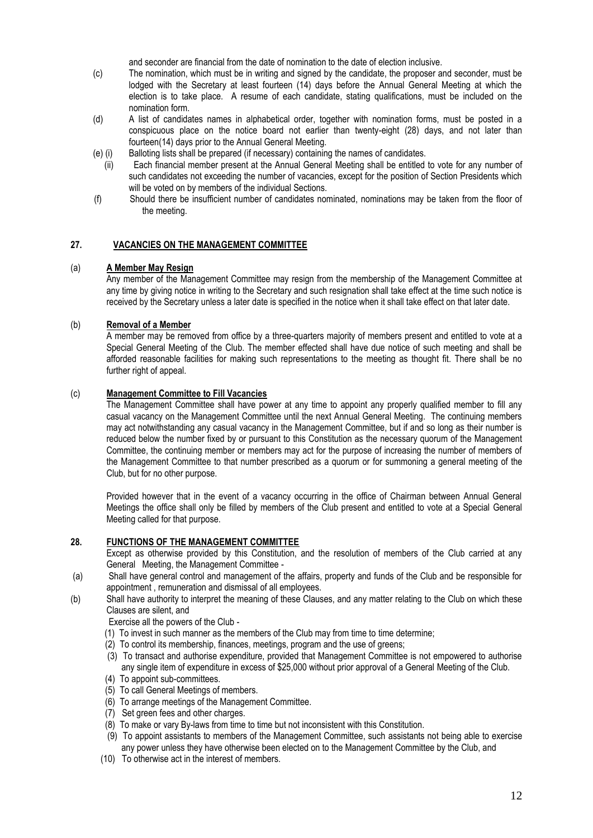and seconder are financial from the date of nomination to the date of election inclusive.

- (c) The nomination, which must be in writing and signed by the candidate, the proposer and seconder, must be lodged with the Secretary at least fourteen (14) days before the Annual General Meeting at which the election is to take place. A resume of each candidate, stating qualifications, must be included on the nomination form.
- (d) A list of candidates names in alphabetical order, together with nomination forms, must be posted in a conspicuous place on the notice board not earlier than twenty-eight (28) days, and not later than fourteen(14) days prior to the Annual General Meeting.
- (e) (i) Balloting lists shall be prepared (if necessary) containing the names of candidates.
- (ii) Each financial member present at the Annual General Meeting shall be entitled to vote for any number of such candidates not exceeding the number of vacancies, except for the position of Section Presidents which will be voted on by members of the individual Sections.
- (f) Should there be insufficient number of candidates nominated, nominations may be taken from the floor of the meeting.

## **27. VACANCIES ON THE MANAGEMENT COMMITTEE**

#### (a) **A Member May Resign**

Any member of the Management Committee may resign from the membership of the Management Committee at any time by giving notice in writing to the Secretary and such resignation shall take effect at the time such notice is received by the Secretary unless a later date is specified in the notice when it shall take effect on that later date.

## (b) **Removal of a Member**

A member may be removed from office by a three-quarters majority of members present and entitled to vote at a Special General Meeting of the Club. The member effected shall have due notice of such meeting and shall be afforded reasonable facilities for making such representations to the meeting as thought fit. There shall be no further right of appeal.

#### (c) **Management Committee to Fill Vacancies**

The Management Committee shall have power at any time to appoint any properly qualified member to fill any casual vacancy on the Management Committee until the next Annual General Meeting. The continuing members may act notwithstanding any casual vacancy in the Management Committee, but if and so long as their number is reduced below the number fixed by or pursuant to this Constitution as the necessary quorum of the Management Committee, the continuing member or members may act for the purpose of increasing the number of members of the Management Committee to that number prescribed as a quorum or for summoning a general meeting of the Club, but for no other purpose.

Provided however that in the event of a vacancy occurring in the office of Chairman between Annual General Meetings the office shall only be filled by members of the Club present and entitled to vote at a Special General Meeting called for that purpose.

#### **28. FUNCTIONS OF THE MANAGEMENT COMMITTEE**

Except as otherwise provided by this Constitution, and the resolution of members of the Club carried at any General Meeting, the Management Committee -

- (a) Shall have general control and management of the affairs, property and funds of the Club and be responsible for appointment , remuneration and dismissal of all employees.
- (b) Shall have authority to interpret the meaning of these Clauses, and any matter relating to the Club on which these Clauses are silent, and

Exercise all the powers of the Club -

- (1) To invest in such manner as the members of the Club may from time to time determine;
- (2) To control its membership, finances, meetings, program and the use of greens;
- (3) To transact and authorise expenditure, provided that Management Committee is not empowered to authorise any single item of expenditure in excess of \$25,000 without prior approval of a General Meeting of the Club.
- (4) To appoint sub-committees.
- (5) To call General Meetings of members.
- (6) To arrange meetings of the Management Committee.
- (7) Set green fees and other charges.
- (8) To make or vary By-laws from time to time but not inconsistent with this Constitution.
- (9) To appoint assistants to members of the Management Committee, such assistants not being able to exercise any power unless they have otherwise been elected on to the Management Committee by the Club, and
- (10) To otherwise act in the interest of members.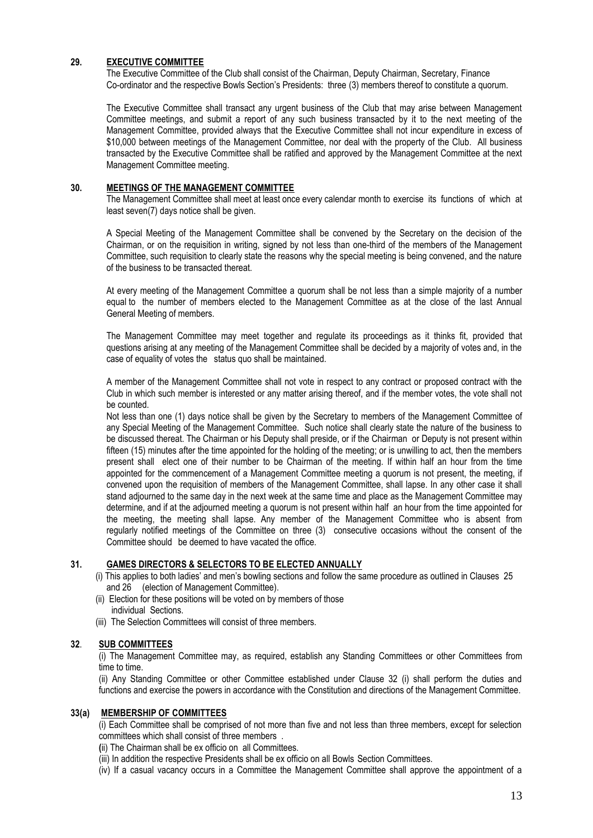## **29. EXECUTIVE COMMITTEE**

The Executive Committee of the Club shall consist of the Chairman, Deputy Chairman, Secretary, Finance Co-ordinator and the respective Bowls Section's Presidents: three (3) members thereof to constitute a quorum.

The Executive Committee shall transact any urgent business of the Club that may arise between Management Committee meetings, and submit a report of any such business transacted by it to the next meeting of the Management Committee, provided always that the Executive Committee shall not incur expenditure in excess of \$10,000 between meetings of the Management Committee, nor deal with the property of the Club. All business transacted by the Executive Committee shall be ratified and approved by the Management Committee at the next Management Committee meeting.

#### **30. MEETINGS OF THE MANAGEMENT COMMITTEE**

The Management Committee shall meet at least once every calendar month to exercise its functions of which at least seven(7) days notice shall be given.

A Special Meeting of the Management Committee shall be convened by the Secretary on the decision of the Chairman, or on the requisition in writing, signed by not less than one-third of the members of the Management Committee, such requisition to clearly state the reasons why the special meeting is being convened, and the nature of the business to be transacted thereat.

At every meeting of the Management Committee a quorum shall be not less than a simple majority of a number equal to the number of members elected to the Management Committee as at the close of the last Annual General Meeting of members.

The Management Committee may meet together and regulate its proceedings as it thinks fit, provided that questions arising at any meeting of the Management Committee shall be decided by a majority of votes and, in the case of equality of votes the status quo shall be maintained.

A member of the Management Committee shall not vote in respect to any contract or proposed contract with the Club in which such member is interested or any matter arising thereof, and if the member votes, the vote shall not be counted.

Not less than one (1) days notice shall be given by the Secretary to members of the Management Committee of any Special Meeting of the Management Committee. Such notice shall clearly state the nature of the business to be discussed thereat. The Chairman or his Deputy shall preside, or if the Chairman or Deputy is not present within fifteen (15) minutes after the time appointed for the holding of the meeting; or is unwilling to act, then the members present shall elect one of their number to be Chairman of the meeting. If within half an hour from the time appointed for the commencement of a Management Committee meeting a quorum is not present, the meeting, if convened upon the requisition of members of the Management Committee, shall lapse. In any other case it shall stand adjourned to the same day in the next week at the same time and place as the Management Committee may determine, and if at the adjourned meeting a quorum is not present within half an hour from the time appointed for the meeting, the meeting shall lapse. Any member of the Management Committee who is absent from regularly notified meetings of the Committee on three (3) consecutive occasions without the consent of the Committee should be deemed to have vacated the office.

## **31. GAMES DIRECTORS & SELECTORS TO BE ELECTED ANNUALLY**

- (i) This applies to both ladies' and men's bowling sections and follow the same procedure as outlined in Clauses 25 and 26 (election of Management Committee).
- (ii) Election for these positions will be voted on by members of those individual Sections.
- (iii) The Selection Committees will consist of three members.

## **32**. **SUB COMMITTEES**

(i) The Management Committee may, as required, establish any Standing Committees or other Committees from time to time.

(ii) Any Standing Committee or other Committee established under Clause 32 (i) shall perform the duties and functions and exercise the powers in accordance with the Constitution and directions of the Management Committee.

#### **33(a) MEMBERSHIP OF COMMITTEES**

(i) Each Committee shall be comprised of not more than five and not less than three members, except for selection committees which shall consist of three members .

**(**ii) The Chairman shall be ex officio on all Committees.

(iii) In addition the respective Presidents shall be ex officio on all Bowls Section Committees.

(iv) If a casual vacancy occurs in a Committee the Management Committee shall approve the appointment of a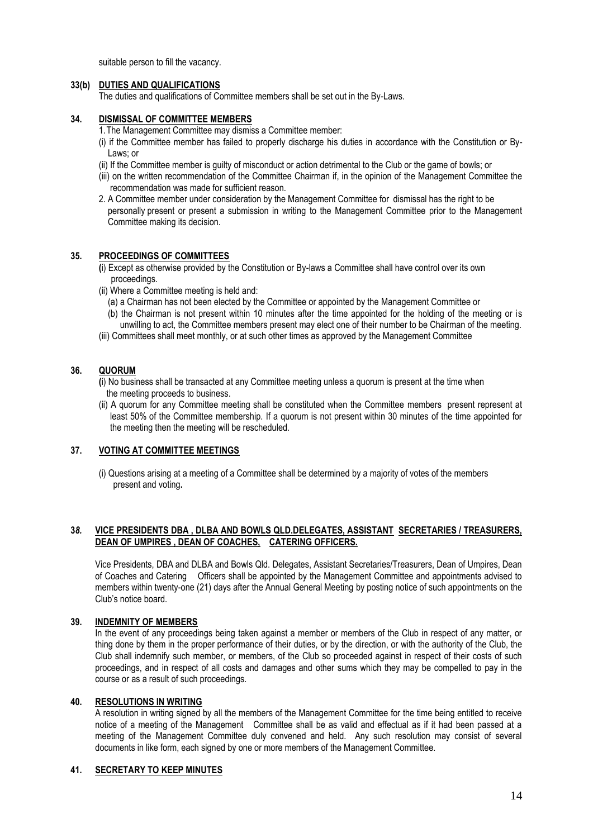suitable person to fill the vacancy.

#### **33(b) DUTIES AND QUALIFICATIONS**

The duties and qualifications of Committee members shall be set out in the By-Laws.

#### **34. DISMISSAL OF COMMITTEE MEMBERS**

1.The Management Committee may dismiss a Committee member:

- (i) if the Committee member has failed to properly discharge his duties in accordance with the Constitution or By- Laws; or
- (ii) If the Committee member is guilty of misconduct or action detrimental to the Club or the game of bowls; or
- (iii) on the written recommendation of the Committee Chairman if, in the opinion of the Management Committee the recommendation was made for sufficient reason.
- 2. A Committee member under consideration by the Management Committee for dismissal has the right to be personally present or present a submission in writing to the Management Committee prior to the Management Committee making its decision.

## **35. PROCEEDINGS OF COMMITTEES**

- **(**i) Except as otherwise provided by the Constitution or By-laws a Committee shall have control over its own proceedings.
- (ii) Where a Committee meeting is held and:
	- (a) a Chairman has not been elected by the Committee or appointed by the Management Committee or
	- (b) the Chairman is not present within 10 minutes after the time appointed for the holding of the meeting or is unwilling to act, the Committee members present may elect one of their number to be Chairman of the meeting.
- (iii) Committees shall meet monthly, or at such other times as approved by the Management Committee

## **36. QUORUM**

- **(**i) No business shall be transacted at any Committee meeting unless a quorum is present at the time when the meeting proceeds to business.
- (ii) A quorum for any Committee meeting shall be constituted when the Committee members present represent at least 50% of the Committee membership. If a quorum is not present within 30 minutes of the time appointed for the meeting then the meeting will be rescheduled.

#### **37. VOTING AT COMMITTEE MEETINGS**

(i) Questions arising at a meeting of a Committee shall be determined by a majority of votes of the members present and voting**.**

## **3***8.* **VICE PRESIDENTS DBA , DLBA AND BOWLS QLD.DELEGATES, ASSISTANT SECRETARIES / TREASURERS, DEAN OF UMPIRES , DEAN OF COACHES, CATERING OFFICERS.**

Vice Presidents, DBA and DLBA and Bowls Qld. Delegates, Assistant Secretaries/Treasurers, Dean of Umpires, Dean of Coaches and Catering Officers shall be appointed by the Management Committee and appointments advised to members within twenty-one (21) days after the Annual General Meeting by posting notice of such appointments on the Club's notice board.

#### **39. INDEMNITY OF MEMBERS**

In the event of any proceedings being taken against a member or members of the Club in respect of any matter, or thing done by them in the proper performance of their duties, or by the direction, or with the authority of the Club, the Club shall indemnify such member, or members, of the Club so proceeded against in respect of their costs of such proceedings, and in respect of all costs and damages and other sums which they may be compelled to pay in the course or as a result of such proceedings.

#### **40. RESOLUTIONS IN WRITING**

A resolution in writing signed by all the members of the Management Committee for the time being entitled to receive notice of a meeting of the Management Committee shall be as valid and effectual as if it had been passed at a meeting of the Management Committee duly convened and held. Any such resolution may consist of several documents in like form, each signed by one or more members of the Management Committee.

#### **41. SECRETARY TO KEEP MINUTES**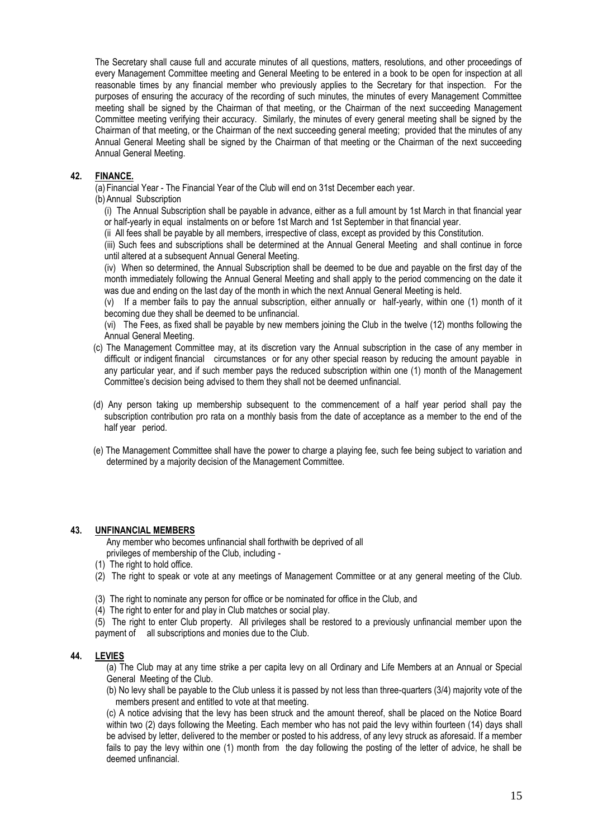The Secretary shall cause full and accurate minutes of all questions, matters, resolutions, and other proceedings of every Management Committee meeting and General Meeting to be entered in a book to be open for inspection at all reasonable times by any financial member who previously applies to the Secretary for that inspection. For the purposes of ensuring the accuracy of the recording of such minutes, the minutes of every Management Committee meeting shall be signed by the Chairman of that meeting, or the Chairman of the next succeeding Management Committee meeting verifying their accuracy. Similarly, the minutes of every general meeting shall be signed by the Chairman of that meeting, or the Chairman of the next succeeding general meeting; provided that the minutes of any Annual General Meeting shall be signed by the Chairman of that meeting or the Chairman of the next succeeding Annual General Meeting.

## **42. FINANCE.**

(a) Financial Year - The Financial Year of the Club will end on 31st December each year.

(b)Annual Subscription

(i) The Annual Subscription shall be payable in advance, either as a full amount by 1st March in that financial year or half-yearly in equal instalments on or before 1st March and 1st September in that financial year.

(ii All fees shall be payable by all members, irrespective of class, except as provided by this Constitution.

(iii) Such fees and subscriptions shall be determined at the Annual General Meeting and shall continue in force until altered at a subsequent Annual General Meeting.

(iv) When so determined, the Annual Subscription shall be deemed to be due and payable on the first day of the month immediately following the Annual General Meeting and shall apply to the period commencing on the date it was due and ending on the last day of the month in which the next Annual General Meeting is held.

(v) If a member fails to pay the annual subscription, either annually or half-yearly, within one (1) month of it becoming due they shall be deemed to be unfinancial.

(vi) The Fees, as fixed shall be payable by new members joining the Club in the twelve (12) months following the Annual General Meeting.

- (c) The Management Committee may, at its discretion vary the Annual subscription in the case of any member in difficult or indigent financial circumstances or for any other special reason by reducing the amount payable in any particular year, and if such member pays the reduced subscription within one (1) month of the Management Committee's decision being advised to them they shall not be deemed unfinancial.
- (d) Any person taking up membership subsequent to the commencement of a half year period shall pay the subscription contribution pro rata on a monthly basis from the date of acceptance as a member to the end of the half year period.
- (e) The Management Committee shall have the power to charge a playing fee, such fee being subject to variation and determined by a majority decision of the Management Committee.

## **43. UNFINANCIAL MEMBERS**

Any member who becomes unfinancial shall forthwith be deprived of all privileges of membership of the Club, including -

- (1) The right to hold office.
- (2) The right to speak or vote at any meetings of Management Committee or at any general meeting of the Club.
- (3) The right to nominate any person for office or be nominated for office in the Club, and
- (4) The right to enter for and play in Club matches or social play.

(5) The right to enter Club property. All privileges shall be restored to a previously unfinancial member upon the payment of all subscriptions and monies due to the Club.

## **44. LEVIES**

 (a) The Club may at any time strike a per capita levy on all Ordinary and Life Members at an Annual or Special General Meeting of the Club.

(b) No levy shall be payable to the Club unless it is passed by not less than three-quarters (3/4) majority vote of the members present and entitled to vote at that meeting.

(c) A notice advising that the levy has been struck and the amount thereof, shall be placed on the Notice Board within two (2) days following the Meeting. Each member who has not paid the levy within fourteen (14) days shall be advised by letter, delivered to the member or posted to his address, of any levy struck as aforesaid. If a member fails to pay the levy within one (1) month from the day following the posting of the letter of advice, he shall be deemed unfinancial.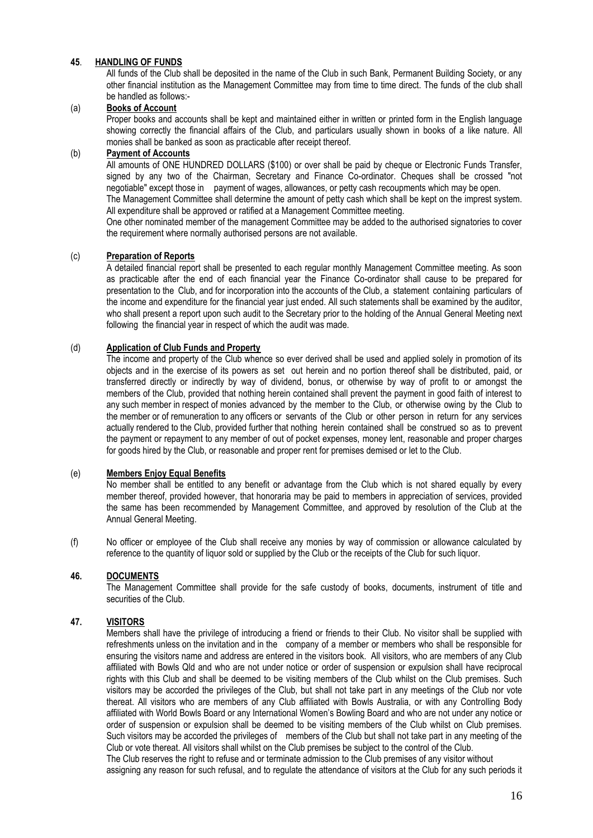## **45**. **HANDLING OF FUNDS**

All funds of the Club shall be deposited in the name of the Club in such Bank, Permanent Building Society, or any other financial institution as the Management Committee may from time to time direct. The funds of the club shall be handled as follows:-

## (a) **Books of Account**

Proper books and accounts shall be kept and maintained either in written or printed form in the English language showing correctly the financial affairs of the Club, and particulars usually shown in books of a like nature. All monies shall be banked as soon as practicable after receipt thereof.

## (b) **Payment of Accounts**

All amounts of ONE HUNDRED DOLLARS (\$100) or over shall be paid by cheque or Electronic Funds Transfer, signed by any two of the Chairman. Secretary and Finance Co-ordinator. Cheques shall be crossed "not negotiable" except those in payment of wages, allowances, or petty cash recoupments which may be open.

The Management Committee shall determine the amount of petty cash which shall be kept on the imprest system. All expenditure shall be approved or ratified at a Management Committee meeting.

One other nominated member of the management Committee may be added to the authorised signatories to cover the requirement where normally authorised persons are not available.

## (c) **Preparation of Reports**

A detailed financial report shall be presented to each regular monthly Management Committee meeting. As soon as practicable after the end of each financial year the Finance Co-ordinator shall cause to be prepared for presentation to the Club, and for incorporation into the accounts of the Club, a statement containing particulars of the income and expenditure for the financial year just ended. All such statements shall be examined by the auditor, who shall present a report upon such audit to the Secretary prior to the holding of the Annual General Meeting next following the financial year in respect of which the audit was made.

#### (d) **Application of Club Funds and Property**

The income and property of the Club whence so ever derived shall be used and applied solely in promotion of its objects and in the exercise of its powers as set out herein and no portion thereof shall be distributed, paid, or transferred directly or indirectly by way of dividend, bonus, or otherwise by way of profit to or amongst the members of the Club, provided that nothing herein contained shall prevent the payment in good faith of interest to any such member in respect of monies advanced by the member to the Club, or otherwise owing by the Club to the member or of remuneration to any officers or servants of the Club or other person in return for any services actually rendered to the Club, provided further that nothing herein contained shall be construed so as to prevent the payment or repayment to any member of out of pocket expenses, money lent, reasonable and proper charges for goods hired by the Club, or reasonable and proper rent for premises demised or let to the Club.

#### (e) **Members Enjoy Equal Benefits**

No member shall be entitled to any benefit or advantage from the Club which is not shared equally by every member thereof, provided however, that honoraria may be paid to members in appreciation of services, provided the same has been recommended by Management Committee, and approved by resolution of the Club at the Annual General Meeting.

(f) No officer or employee of the Club shall receive any monies by way of commission or allowance calculated by reference to the quantity of liquor sold or supplied by the Club or the receipts of the Club for such liquor.

#### **46. DOCUMENTS**

The Management Committee shall provide for the safe custody of books, documents, instrument of title and securities of the Club.

#### **47. VISITORS**

Members shall have the privilege of introducing a friend or friends to their Club. No visitor shall be supplied with refreshments unless on the invitation and in the company of a member or members who shall be responsible for ensuring the visitors name and address are entered in the visitors book. All visitors, who are members of any Club affiliated with Bowls Qld and who are not under notice or order of suspension or expulsion shall have reciprocal rights with this Club and shall be deemed to be visiting members of the Club whilst on the Club premises. Such visitors may be accorded the privileges of the Club, but shall not take part in any meetings of the Club nor vote thereat. All visitors who are members of any Club affiliated with Bowls Australia, or with any Controlling Body affiliated with World Bowls Board or any International Women's Bowling Board and who are not under any notice or order of suspension or expulsion shall be deemed to be visiting members of the Club whilst on Club premises. Such visitors may be accorded the privileges of members of the Club but shall not take part in any meeting of the Club or vote thereat. All visitors shall whilst on the Club premises be subject to the control of the Club.

 The Club reserves the right to refuse and or terminate admission to the Club premises of any visitor without assigning any reason for such refusal, and to regulate the attendance of visitors at the Club for any such periods it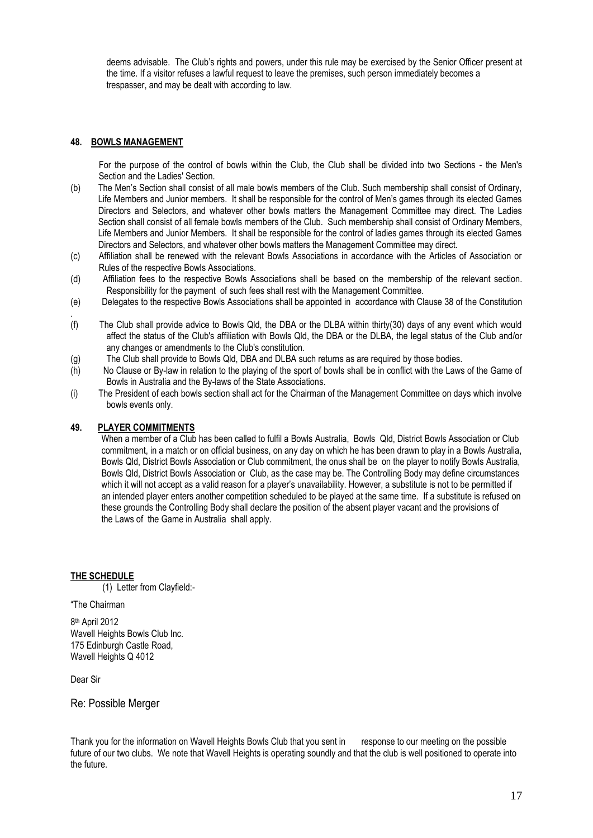deems advisable. The Club's rights and powers, under this rule may be exercised by the Senior Officer present at the time. If a visitor refuses a lawful request to leave the premises, such person immediately becomes a trespasser, and may be dealt with according to law.

## **48. BOWLS MANAGEMENT**

For the purpose of the control of bowls within the Club, the Club shall be divided into two Sections - the Men's Section and the Ladies' Section.

- (b) The Men's Section shall consist of all male bowls members of the Club. Such membership shall consist of Ordinary, Life Members and Junior members. It shall be responsible for the control of Men's games through its elected Games Directors and Selectors, and whatever other bowls matters the Management Committee may direct. The Ladies Section shall consist of all female bowls members of the Club. Such membership shall consist of Ordinary Members, Life Members and Junior Members. It shall be responsible for the control of ladies games through its elected Games Directors and Selectors, and whatever other bowls matters the Management Committee may direct.
- (c) Affiliation shall be renewed with the relevant Bowls Associations in accordance with the Articles of Association or Rules of the respective Bowls Associations.
- (d) Affiliation fees to the respective Bowls Associations shall be based on the membership of the relevant section. Responsibility for the payment of such fees shall rest with the Management Committee.
- (e) Delegates to the respective Bowls Associations shall be appointed in accordance with Clause 38 of the Constitution
- . (f) The Club shall provide advice to Bowls Qld, the DBA or the DLBA within thirty(30) days of any event which would affect the status of the Club's affiliation with Bowls Qld, the DBA or the DLBA, the legal status of the Club and/or any changes or amendments to the Club's constitution.
- (g) The Club shall provide to Bowls Qld, DBA and DLBA such returns as are required by those bodies.
- (h) No Clause or By-law in relation to the playing of the sport of bowls shall be in conflict with the Laws of the Game of Bowls in Australia and the By-laws of the State Associations.
- (i) The President of each bowls section shall act for the Chairman of the Management Committee on days which involve bowls events only.

## **49. PLAYER COMMITMENTS**

When a member of a Club has been called to fulfil a Bowls Australia, Bowls Qld, District Bowls Association or Club commitment, in a match or on official business, on any day on which he has been drawn to play in a Bowls Australia, Bowls Qld, District Bowls Association or Club commitment, the onus shall be on the player to notify Bowls Australia, Bowls Qld, District Bowls Association or Club, as the case may be. The Controlling Body may define circumstances which it will not accept as a valid reason for a player's unavailability. However, a substitute is not to be permitted if an intended player enters another competition scheduled to be played at the same time. If a substitute is refused on these grounds the Controlling Body shall declare the position of the absent player vacant and the provisions of the Laws of the Game in Australia shall apply.

#### **THE SCHEDULE**

(1) Letter from Clayfield:-

"The Chairman

8 th April 2012 Wavell Heights Bowls Club Inc. 175 Edinburgh Castle Road, Wavell Heights Q 4012

Dear Sir

Re: Possible Merger

Thank you for the information on Wavell Heights Bowls Club that you sent in response to our meeting on the possible future of our two clubs. We note that Wavell Heights is operating soundly and that the club is well positioned to operate into the future.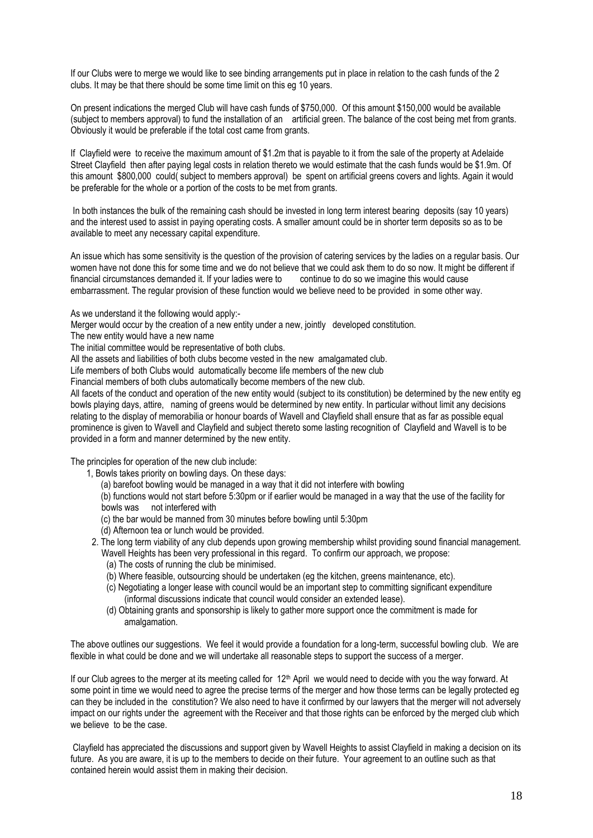If our Clubs were to merge we would like to see binding arrangements put in place in relation to the cash funds of the 2 clubs. It may be that there should be some time limit on this eg 10 years.

On present indications the merged Club will have cash funds of \$750,000. Of this amount \$150,000 would be available (subject to members approval) to fund the installation of an artificial green. The balance of the cost being met from grants. Obviously it would be preferable if the total cost came from grants.

If Clayfield were to receive the maximum amount of \$1.2m that is payable to it from the sale of the property at Adelaide Street Clayfield then after paying legal costs in relation thereto we would estimate that the cash funds would be \$1.9m. Of this amount \$800,000 could( subject to members approval) be spent on artificial greens covers and lights. Again it would be preferable for the whole or a portion of the costs to be met from grants.

In both instances the bulk of the remaining cash should be invested in long term interest bearing deposits (say 10 years) and the interest used to assist in paying operating costs. A smaller amount could be in shorter term deposits so as to be available to meet any necessary capital expenditure.

An issue which has some sensitivity is the question of the provision of catering services by the ladies on a regular basis. Our women have not done this for some time and we do not believe that we could ask them to do so now. It might be different if financial circumstances demanded it. If your ladies were to continue to do so we imagine this would cause embarrassment. The regular provision of these function would we believe need to be provided in some other way.

As we understand it the following would apply:-

Merger would occur by the creation of a new entity under a new, jointly developed constitution.

The new entity would have a new name

The initial committee would be representative of both clubs.

All the assets and liabilities of both clubs become vested in the new amalgamated club.

Life members of both Clubs would automatically become life members of the new club

Financial members of both clubs automatically become members of the new club.

All facets of the conduct and operation of the new entity would (subject to its constitution) be determined by the new entity eg bowls playing days, attire, naming of greens would be determined by new entity. In particular without limit any decisions relating to the display of memorabilia or honour boards of Wavell and Clayfield shall ensure that as far as possible equal prominence is given to Wavell and Clayfield and subject thereto some lasting recognition of Clayfield and Wavell is to be provided in a form and manner determined by the new entity.

The principles for operation of the new club include:

- 1, Bowls takes priority on bowling days. On these days:
	- (a) barefoot bowling would be managed in a way that it did not interfere with bowling
	- (b) functions would not start before 5:30pm or if earlier would be managed in a way that the use of the facility for bowls was not interfered with
	- (c) the bar would be manned from 30 minutes before bowling until 5:30pm
	- (d) Afternoon tea or lunch would be provided.
- 2. The long term viability of any club depends upon growing membership whilst providing sound financial management. Wavell Heights has been very professional in this regard. To confirm our approach, we propose:
	- (a) The costs of running the club be minimised.
	- (b) Where feasible, outsourcing should be undertaken (eg the kitchen, greens maintenance, etc).
	- (c) Negotiating a longer lease with council would be an important step to committing significant expenditure (informal discussions indicate that council would consider an extended lease).
	- (d) Obtaining grants and sponsorship is likely to gather more support once the commitment is made for amalgamation.

The above outlines our suggestions. We feel it would provide a foundation for a long-term, successful bowling club. We are flexible in what could be done and we will undertake all reasonable steps to support the success of a merger.

If our Club agrees to the merger at its meeting called for 12<sup>th</sup> April we would need to decide with you the way forward. At some point in time we would need to agree the precise terms of the merger and how those terms can be legally protected eg can they be included in the constitution? We also need to have it confirmed by our lawyers that the merger will not adversely impact on our rights under the agreement with the Receiver and that those rights can be enforced by the merged club which we believe to be the case.

Clayfield has appreciated the discussions and support given by Wavell Heights to assist Clayfield in making a decision on its future. As you are aware, it is up to the members to decide on their future. Your agreement to an outline such as that contained herein would assist them in making their decision.